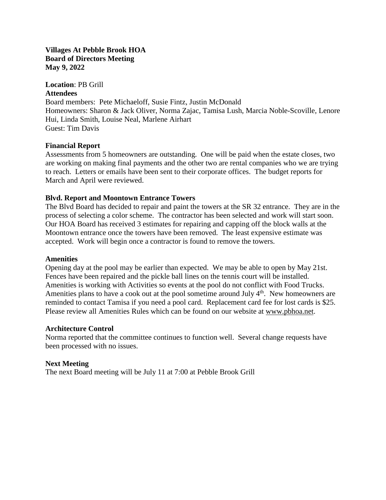#### **Villages At Pebble Brook HOA Board of Directors Meeting May 9, 2022**

**Location**: PB Grill

#### **Attendees**

Board members: Pete Michaeloff, Susie Fintz, Justin McDonald Homeowners: Sharon & Jack Oliver, Norma Zajac, Tamisa Lush, Marcia Noble-Scoville, Lenore Hui, Linda Smith, Louise Neal, Marlene Airhart Guest: Tim Davis

# **Financial Report**

Assessments from 5 homeowners are outstanding. One will be paid when the estate closes, two are working on making final payments and the other two are rental companies who we are trying to reach. Letters or emails have been sent to their corporate offices. The budget reports for March and April were reviewed.

# **Blvd. Report and Moontown Entrance Towers**

The Blvd Board has decided to repair and paint the towers at the SR 32 entrance. They are in the process of selecting a color scheme. The contractor has been selected and work will start soon. Our HOA Board has received 3 estimates for repairing and capping off the block walls at the Moontown entrance once the towers have been removed. The least expensive estimate was accepted. Work will begin once a contractor is found to remove the towers.

## **Amenities**

Opening day at the pool may be earlier than expected. We may be able to open by May 21st. Fences have been repaired and the pickle ball lines on the tennis court will be installed. Amenities is working with Activities so events at the pool do not conflict with Food Trucks. Amenities plans to have a cook out at the pool sometime around July 4<sup>th</sup>. New homeowners are reminded to contact Tamisa if you need a pool card. Replacement card fee for lost cards is \$25. Please review all Amenities Rules which can be found on our website at [www.pbhoa.net.](http://www.pbhoa.net/)

## **Architecture Control**

Norma reported that the committee continues to function well. Several change requests have been processed with no issues.

## **Next Meeting**

The next Board meeting will be July 11 at 7:00 at Pebble Brook Grill